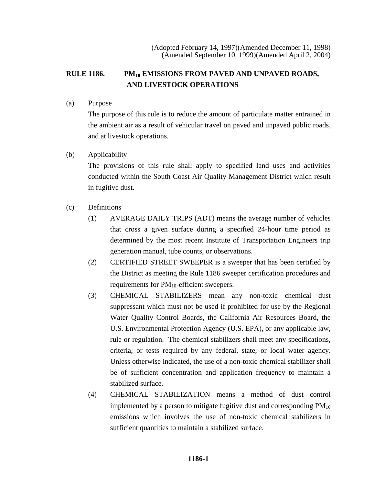# RULE 1186. PM<sub>10</sub> EMISSIONS FROM PAVED AND UNPAVED ROADS, **AND LIVESTOCK OPERATIONS**

(a) Purpose

The purpose of this rule is to reduce the amount of particulate matter entrained in the ambient air as a result of vehicular travel on paved and unpaved public roads, and at livestock operations.

### (b) Applicability

The provisions of this rule shall apply to specified land uses and activities conducted within the South Coast Air Quality Management District which result in fugitive dust.

- (c) Definitions
	- (1) AVERAGE DAILY TRIPS (ADT) means the average number of vehicles that cross a given surface during a specified 24-hour time period as determined by the most recent Institute of Transportation Engineers trip generation manual, tube counts, or observations.
	- (2) CERTIFIED STREET SWEEPER is a sweeper that has been certified by the District as meeting the Rule 1186 sweeper certification procedures and requirements for  $PM_{10}$ -efficient sweepers.
	- (3) CHEMICAL STABILIZERS mean any non-toxic chemical dust suppressant which must not be used if prohibited for use by the Regional Water Quality Control Boards, the California Air Resources Board, the U.S. Environmental Protection Agency (U.S. EPA), or any applicable law, rule or regulation. The chemical stabilizers shall meet any specifications, criteria, or tests required by any federal, state, or local water agency. Unless otherwise indicated, the use of a non-toxic chemical stabilizer shall be of sufficient concentration and application frequency to maintain a stabilized surface.
	- (4) CHEMICAL STABILIZATION means a method of dust control implemented by a person to mitigate fugitive dust and corresponding  $PM_{10}$ emissions which involves the use of non-toxic chemical stabilizers in sufficient quantities to maintain a stabilized surface.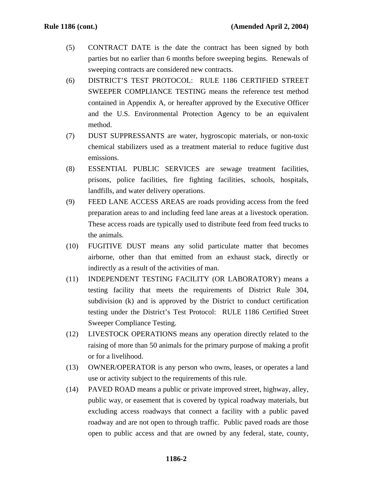- (5) CONTRACT DATE is the date the contract has been signed by both parties but no earlier than 6 months before sweeping begins. Renewals of sweeping contracts are considered new contracts.
- (6) DISTRICT'S TEST PROTOCOL: RULE 1186 CERTIFIED STREET SWEEPER COMPLIANCE TESTING means the reference test method contained in Appendix A, or hereafter approved by the Executive Officer and the U.S. Environmental Protection Agency to be an equivalent method.
- (7) DUST SUPPRESSANTS are water, hygroscopic materials, or non-toxic chemical stabilizers used as a treatment material to reduce fugitive dust emissions.
- (8) ESSENTIAL PUBLIC SERVICES are sewage treatment facilities, prisons, police facilities, fire fighting facilities, schools, hospitals, landfills, and water delivery operations.
- (9) FEED LANE ACCESS AREAS are roads providing access from the feed preparation areas to and including feed lane areas at a livestock operation. These access roads are typically used to distribute feed from feed trucks to the animals.
- (10) FUGITIVE DUST means any solid particulate matter that becomes airborne, other than that emitted from an exhaust stack, directly or indirectly as a result of the activities of man.
- (11) INDEPENDENT TESTING FACILITY (OR LABORATORY) means a testing facility that meets the requirements of District Rule 304, subdivision (k) and is approved by the District to conduct certification testing under the District's Test Protocol: RULE 1186 Certified Street Sweeper Compliance Testing.
- (12) LIVESTOCK OPERATIONS means any operation directly related to the raising of more than 50 animals for the primary purpose of making a profit or for a livelihood.
- (13) OWNER/OPERATOR is any person who owns, leases, or operates a land use or activity subject to the requirements of this rule.
- (14) PAVED ROAD means a public or private improved street, highway, alley, public way, or easement that is covered by typical roadway materials, but excluding access roadways that connect a facility with a public paved roadway and are not open to through traffic. Public paved roads are those open to public access and that are owned by any federal, state, county,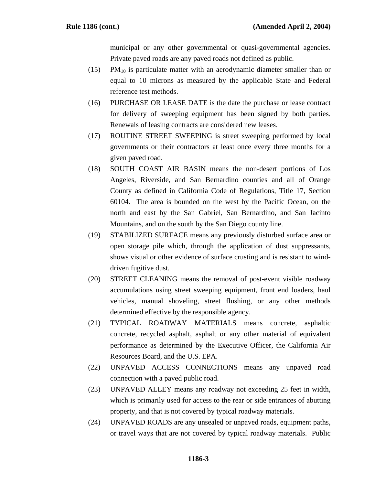municipal or any other governmental or quasi-governmental agencies. Private paved roads are any paved roads not defined as public.

- $(15)$  PM<sub>10</sub> is particulate matter with an aerodynamic diameter smaller than or equal to 10 microns as measured by the applicable State and Federal reference test methods.
- (16) PURCHASE OR LEASE DATE is the date the purchase or lease contract for delivery of sweeping equipment has been signed by both parties. Renewals of leasing contracts are considered new leases.
- (17) ROUTINE STREET SWEEPING is street sweeping performed by local governments or their contractors at least once every three months for a given paved road.
- (18) SOUTH COAST AIR BASIN means the non-desert portions of Los Angeles, Riverside, and San Bernardino counties and all of Orange County as defined in California Code of Regulations, Title 17, Section 60104. The area is bounded on the west by the Pacific Ocean, on the north and east by the San Gabriel, San Bernardino, and San Jacinto Mountains, and on the south by the San Diego county line.
- (19) STABILIZED SURFACE means any previously disturbed surface area or open storage pile which, through the application of dust suppressants, shows visual or other evidence of surface crusting and is resistant to winddriven fugitive dust.
- (20) STREET CLEANING means the removal of post-event visible roadway accumulations using street sweeping equipment, front end loaders, haul vehicles, manual shoveling, street flushing, or any other methods determined effective by the responsible agency.
- (21) TYPICAL ROADWAY MATERIALS means concrete, asphaltic concrete, recycled asphalt, asphalt or any other material of equivalent performance as determined by the Executive Officer, the California Air Resources Board, and the U.S. EPA.
- (22) UNPAVED ACCESS CONNECTIONS means any unpaved road connection with a paved public road.
- (23) UNPAVED ALLEY means any roadway not exceeding 25 feet in width, which is primarily used for access to the rear or side entrances of abutting property, and that is not covered by typical roadway materials.
- (24) UNPAVED ROADS are any unsealed or unpaved roads, equipment paths, or travel ways that are not covered by typical roadway materials. Public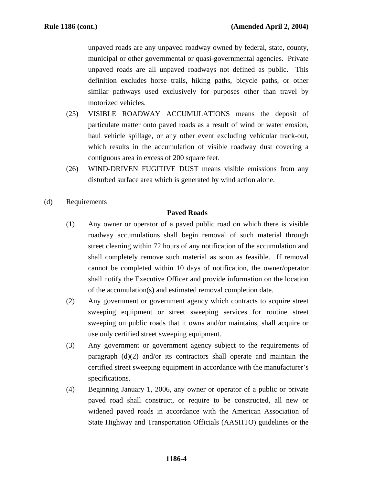unpaved roads are any unpaved roadway owned by federal, state, county, municipal or other governmental or quasi-governmental agencies. Private unpaved roads are all unpaved roadways not defined as public. This definition excludes horse trails, hiking paths, bicycle paths, or other similar pathways used exclusively for purposes other than travel by motorized vehicles.

- (25) VISIBLE ROADWAY ACCUMULATIONS means the deposit of particulate matter onto paved roads as a result of wind or water erosion, haul vehicle spillage, or any other event excluding vehicular track-out, which results in the accumulation of visible roadway dust covering a contiguous area in excess of 200 square feet.
- (26) WIND-DRIVEN FUGITIVE DUST means visible emissions from any disturbed surface area which is generated by wind action alone.
- (d) Requirements

#### **Paved Roads**

- (1) Any owner or operator of a paved public road on which there is visible roadway accumulations shall begin removal of such material through street cleaning within 72 hours of any notification of the accumulation and shall completely remove such material as soon as feasible. If removal cannot be completed within 10 days of notification, the owner/operator shall notify the Executive Officer and provide information on the location of the accumulation(s) and estimated removal completion date.
- (2) Any government or government agency which contracts to acquire street sweeping equipment or street sweeping services for routine street sweeping on public roads that it owns and/or maintains, shall acquire or use only certified street sweeping equipment.
- (3) Any government or government agency subject to the requirements of paragraph (d)(2) and/or its contractors shall operate and maintain the certified street sweeping equipment in accordance with the manufacturer's specifications.
- (4) Beginning January 1, 2006, any owner or operator of a public or private paved road shall construct, or require to be constructed, all new or widened paved roads in accordance with the American Association of State Highway and Transportation Officials (AASHTO) guidelines or the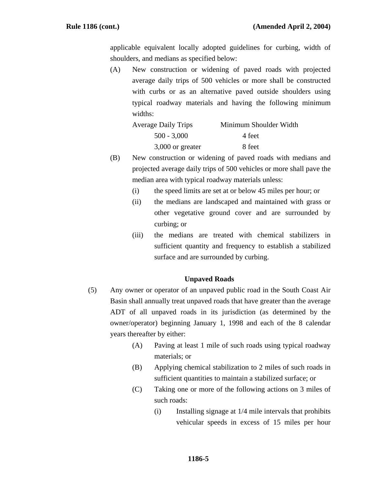applicable equivalent locally adopted guidelines for curbing, width of shoulders, and medians as specified below:

(A) New construction or widening of paved roads with projected average daily trips of 500 vehicles or more shall be constructed with curbs or as an alternative paved outside shoulders using typical roadway materials and having the following minimum widths:

| <b>Average Daily Trips</b> | Minimum Shoulder Width |
|----------------------------|------------------------|
| $500 - 3,000$              | 4 feet                 |
| 3,000 or greater           | 8 feet                 |

- (B) New construction or widening of paved roads with medians and projected average daily trips of 500 vehicles or more shall pave the median area with typical roadway materials unless:
	- (i) the speed limits are set at or below 45 miles per hour; or
	- (ii) the medians are landscaped and maintained with grass or other vegetative ground cover and are surrounded by curbing; or
	- (iii) the medians are treated with chemical stabilizers in sufficient quantity and frequency to establish a stabilized surface and are surrounded by curbing.

#### **Unpaved Roads**

- (5) Any owner or operator of an unpaved public road in the South Coast Air Basin shall annually treat unpaved roads that have greater than the average ADT of all unpaved roads in its jurisdiction (as determined by the owner/operator) beginning January 1, 1998 and each of the 8 calendar years thereafter by either:
	- (A) Paving at least 1 mile of such roads using typical roadway materials; or
	- (B) Applying chemical stabilization to 2 miles of such roads in sufficient quantities to maintain a stabilized surface; or
	- (C) Taking one or more of the following actions on 3 miles of such roads:
		- (i) Installing signage at 1/4 mile intervals that prohibits vehicular speeds in excess of 15 miles per hour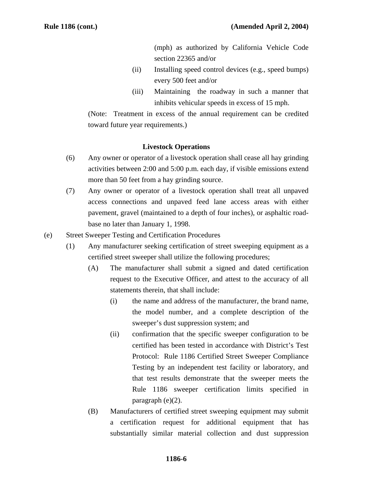(mph) as authorized by California Vehicle Code section 22365 and/or

- (ii) Installing speed control devices (e.g., speed bumps) every 500 feet and/or
- (iii) Maintaining the roadway in such a manner that inhibits vehicular speeds in excess of 15 mph.

(Note: Treatment in excess of the annual requirement can be credited toward future year requirements.)

#### **Livestock Operations**

- (6) Any owner or operator of a livestock operation shall cease all hay grinding activities between 2:00 and 5:00 p.m. each day, if visible emissions extend more than 50 feet from a hay grinding source.
- (7) Any owner or operator of a livestock operation shall treat all unpaved access connections and unpaved feed lane access areas with either pavement, gravel (maintained to a depth of four inches), or asphaltic roadbase no later than January 1, 1998.
- (e) Street Sweeper Testing and Certification Procedures
	- (1) Any manufacturer seeking certification of street sweeping equipment as a certified street sweeper shall utilize the following procedures;
		- (A) The manufacturer shall submit a signed and dated certification request to the Executive Officer, and attest to the accuracy of all statements therein, that shall include:
			- (i) the name and address of the manufacturer, the brand name, the model number, and a complete description of the sweeper's dust suppression system; and
			- (ii) confirmation that the specific sweeper configuration to be certified has been tested in accordance with District's Test Protocol: Rule 1186 Certified Street Sweeper Compliance Testing by an independent test facility or laboratory, and that test results demonstrate that the sweeper meets the Rule 1186 sweeper certification limits specified in paragraph (e)(2).
		- (B) Manufacturers of certified street sweeping equipment may submit a certification request for additional equipment that has substantially similar material collection and dust suppression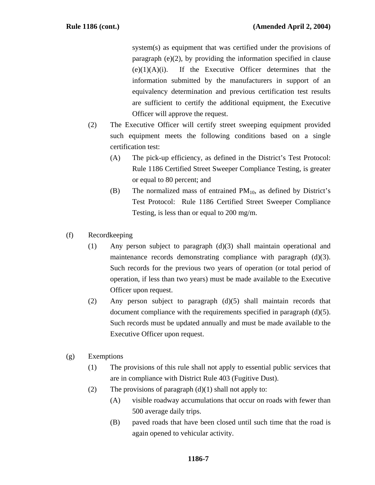system(s) as equipment that was certified under the provisions of paragraph (e)(2), by providing the information specified in clause  $(e)(1)(A)(i)$ . If the Executive Officer determines that the information submitted by the manufacturers in support of an equivalency determination and previous certification test results are sufficient to certify the additional equipment, the Executive Officer will approve the request.

- (2) The Executive Officer will certify street sweeping equipment provided such equipment meets the following conditions based on a single certification test:
	- (A) The pick-up efficiency, as defined in the District's Test Protocol: Rule 1186 Certified Street Sweeper Compliance Testing, is greater or equal to 80 percent; and
	- (B) The normalized mass of entrained  $PM_{10}$ , as defined by District's Test Protocol: Rule 1186 Certified Street Sweeper Compliance Testing, is less than or equal to 200 mg/m.
- (f) Recordkeeping
	- (1) Any person subject to paragraph (d)(3) shall maintain operational and maintenance records demonstrating compliance with paragraph (d)(3). Such records for the previous two years of operation (or total period of operation, if less than two years) must be made available to the Executive Officer upon request.
	- (2) Any person subject to paragraph (d)(5) shall maintain records that document compliance with the requirements specified in paragraph (d)(5). Such records must be updated annually and must be made available to the Executive Officer upon request.
- (g) Exemptions
	- (1) The provisions of this rule shall not apply to essential public services that are in compliance with District Rule 403 (Fugitive Dust).
	- (2) The provisions of paragraph  $(d)(1)$  shall not apply to:
		- (A) visible roadway accumulations that occur on roads with fewer than 500 average daily trips.
		- (B) paved roads that have been closed until such time that the road is again opened to vehicular activity.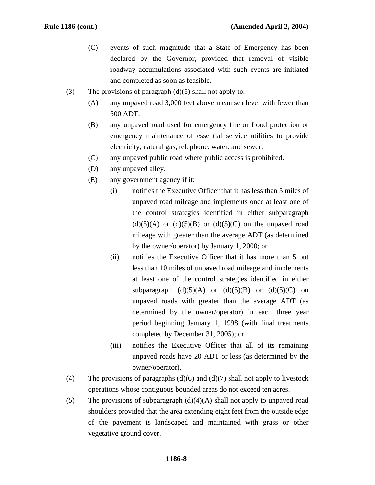- (C) events of such magnitude that a State of Emergency has been declared by the Governor, provided that removal of visible roadway accumulations associated with such events are initiated and completed as soon as feasible.
- (3) The provisions of paragraph  $(d)(5)$  shall not apply to:
	- (A) any unpaved road 3,000 feet above mean sea level with fewer than 500 ADT.
	- (B) any unpaved road used for emergency fire or flood protection or emergency maintenance of essential service utilities to provide electricity, natural gas, telephone, water, and sewer.
	- (C) any unpaved public road where public access is prohibited.
	- (D) any unpaved alley.
	- (E) any government agency if it:
		- (i) notifies the Executive Officer that it has less than 5 miles of unpaved road mileage and implements once at least one of the control strategies identified in either subparagraph  $(d)(5)(A)$  or  $(d)(5)(B)$  or  $(d)(5)(C)$  on the unpaved road mileage with greater than the average ADT (as determined by the owner/operator) by January 1, 2000; or
		- (ii) notifies the Executive Officer that it has more than 5 but less than 10 miles of unpaved road mileage and implements at least one of the control strategies identified in either subparagraph  $(d)(5)(A)$  or  $(d)(5)(B)$  or  $(d)(5)(C)$  on unpaved roads with greater than the average ADT (as determined by the owner/operator) in each three year period beginning January 1, 1998 (with final treatments completed by December 31, 2005); or
		- (iii) notifies the Executive Officer that all of its remaining unpaved roads have 20 ADT or less (as determined by the owner/operator).
- (4) The provisions of paragraphs  $(d)(6)$  and  $(d)(7)$  shall not apply to livestock operations whose contiguous bounded areas do not exceed ten acres.
- (5) The provisions of subparagraph  $(d)(4)(A)$  shall not apply to unpaved road shoulders provided that the area extending eight feet from the outside edge of the pavement is landscaped and maintained with grass or other vegetative ground cover.